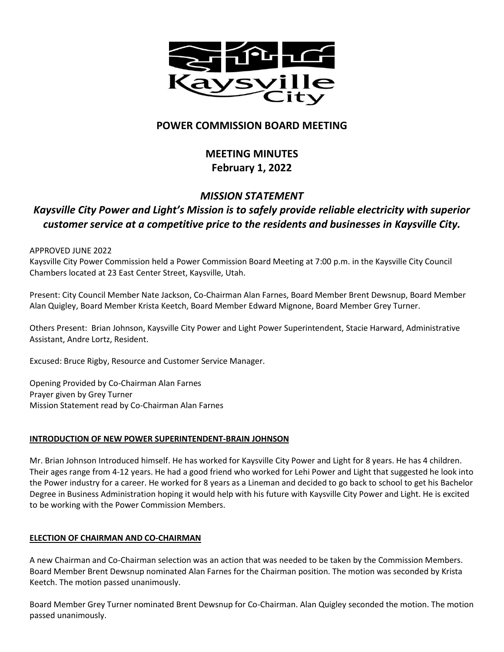

## **POWER COMMISSION BOARD MEETING**

# **MEETING MINUTES February 1, 2022**

## *MISSION STATEMENT Kaysville City Power and Light's Mission is to safely provide reliable electricity with superior customer service at a competitive price to the residents and businesses in Kaysville City.*

### APPROVED JUNE 2022

Kaysville City Power Commission held a Power Commission Board Meeting at 7:00 p.m. in the Kaysville City Council Chambers located at 23 East Center Street, Kaysville, Utah.

Present: City Council Member Nate Jackson, Co-Chairman Alan Farnes, Board Member Brent Dewsnup, Board Member Alan Quigley, Board Member Krista Keetch, Board Member Edward Mignone, Board Member Grey Turner.

Others Present: Brian Johnson, Kaysville City Power and Light Power Superintendent, Stacie Harward, Administrative Assistant, Andre Lortz, Resident.

Excused: Bruce Rigby, Resource and Customer Service Manager.

Opening Provided by Co-Chairman Alan Farnes Prayer given by Grey Turner Mission Statement read by Co-Chairman Alan Farnes

## **INTRODUCTION OF NEW POWER SUPERINTENDENT-BRAIN JOHNSON**

Mr. Brian Johnson Introduced himself. He has worked for Kaysville City Power and Light for 8 years. He has 4 children. Their ages range from 4-12 years. He had a good friend who worked for Lehi Power and Light that suggested he look into the Power industry for a career. He worked for 8 years as a Lineman and decided to go back to school to get his Bachelor Degree in Business Administration hoping it would help with his future with Kaysville City Power and Light. He is excited to be working with the Power Commission Members.

### **ELECTION OF CHAIRMAN AND CO-CHAIRMAN**

A new Chairman and Co-Chairman selection was an action that was needed to be taken by the Commission Members. Board Member Brent Dewsnup nominated Alan Farnes for the Chairman position. The motion was seconded by Krista Keetch. The motion passed unanimously.

Board Member Grey Turner nominated Brent Dewsnup for Co-Chairman. Alan Quigley seconded the motion. The motion passed unanimously.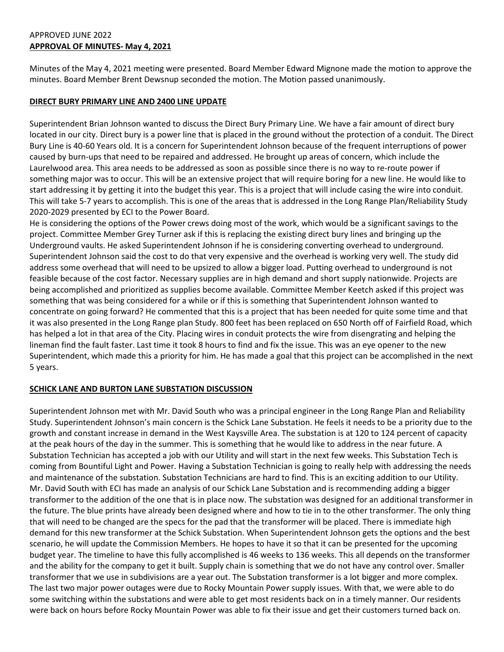## APPROVED JUNE 2022 **APPROVAL OF MINUTES- May 4, 2021**

Minutes of the May 4, 2021 meeting were presented. Board Member Edward Mignone made the motion to approve the minutes. Board Member Brent Dewsnup seconded the motion. The Motion passed unanimously.

#### **DIRECT BURY PRIMARY LINE AND 2400 LINE UPDATE**

Superintendent Brian Johnson wanted to discuss the Direct Bury Primary Line. We have a fair amount of direct bury located in our city. Direct bury is a power line that is placed in the ground without the protection of a conduit. The Direct Bury Line is 40-60 Years old. It is a concern for Superintendent Johnson because of the frequent interruptions of power caused by burn-ups that need to be repaired and addressed. He brought up areas of concern, which include the Laurelwood area. This area needs to be addressed as soon as possible since there is no way to re-route power if something major was to occur. This will be an extensive project that will require boring for a new line. He would like to start addressing it by getting it into the budget this year. This is a project that will include casing the wire into conduit. This will take 5-7 years to accomplish. This is one of the areas that is addressed in the Long Range Plan/Reliability Study 2020-2029 presented by ECI to the Power Board.

He is considering the options of the Power crews doing most of the work, which would be a significant savings to the project. Committee Member Grey Turner ask if this is replacing the existing direct bury lines and bringing up the Underground vaults. He asked Superintendent Johnson if he is considering converting overhead to underground. Superintendent Johnson said the cost to do that very expensive and the overhead is working very well. The study did address some overhead that will need to be upsized to allow a bigger load. Putting overhead to underground is not feasible because of the cost factor. Necessary supplies are in high demand and short supply nationwide. Projects are being accomplished and prioritized as supplies become available. Committee Member Keetch asked if this project was something that was being considered for a while or if this is something that Superintendent Johnson wanted to concentrate on going forward? He commented that this is a project that has been needed for quite some time and that it was also presented in the Long Range plan Study. 800 feet has been replaced on 650 North off of Fairfield Road, which has helped a lot in that area of the City. Placing wires in conduit protects the wire from disengrating and helping the lineman find the fault faster. Last time it took 8 hours to find and fix the issue. This was an eye opener to the new Superintendent, which made this a priority for him. He has made a goal that this project can be accomplished in the next 5 years.

### **SCHICK LANE AND BURTON LANE SUBSTATION DISCUSSION**

Superintendent Johnson met with Mr. David South who was a principal engineer in the Long Range Plan and Reliability Study. Superintendent Johnson's main concern is the Schick Lane Substation. He feels it needs to be a priority due to the growth and constant increase in demand in the West Kaysville Area. The substation is at 120 to 124 percent of capacity at the peak hours of the day in the summer. This is something that he would like to address in the near future. A Substation Technician has accepted a job with our Utility and will start in the next few weeks. This Substation Tech is coming from Bountiful Light and Power. Having a Substation Technician is going to really help with addressing the needs and maintenance of the substation. Substation Technicians are hard to find. This is an exciting addition to our Utility. Mr. David South with ECI has made an analysis of our Schick Lane Substation and is recommending adding a bigger transformer to the addition of the one that is in place now. The substation was designed for an additional transformer in the future. The blue prints have already been designed where and how to tie in to the other transformer. The only thing that will need to be changed are the specs for the pad that the transformer will be placed. There is immediate high demand for this new transformer at the Schick Substation. When Superintendent Johnson gets the options and the best scenario, he will update the Commission Members. He hopes to have it so that it can be presented for the upcoming budget year. The timeline to have this fully accomplished is 46 weeks to 136 weeks. This all depends on the transformer and the ability for the company to get it built. Supply chain is something that we do not have any control over. Smaller transformer that we use in subdivisions are a year out. The Substation transformer is a lot bigger and more complex. The last two major power outages were due to Rocky Mountain Power supply issues. With that, we were able to do some switching within the substations and were able to get most residents back on in a timely manner. Our residents were back on hours before Rocky Mountain Power was able to fix their issue and get their customers turned back on.